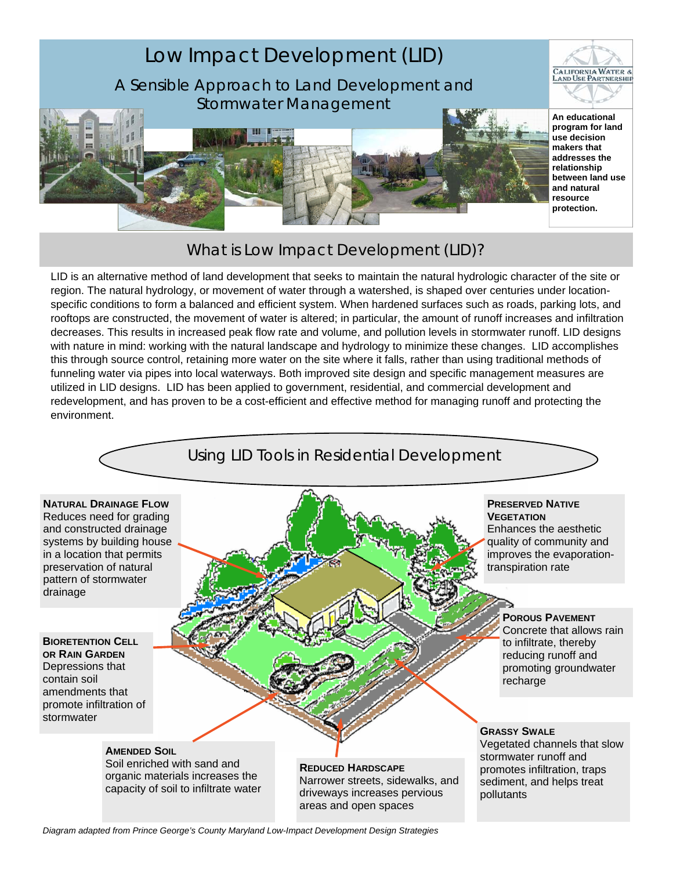

# What is Low Impact Development (LID)?

LID is an alternative method of land development that seeks to maintain the natural hydrologic character of the site or region. The natural hydrology, or movement of water through a watershed, is shaped over centuries under locationspecific conditions to form a balanced and efficient system. When hardened surfaces such as roads, parking lots, and rooftops are constructed, the movement of water is altered; in particular, the amount of runoff increases and infiltration decreases. This results in increased peak flow rate and volume, and pollution levels in stormwater runoff. LID designs with nature in mind: working with the natural landscape and hydrology to minimize these changes. LID accomplishes this through source control, retaining more water on the site where it falls, rather than using traditional methods of funneling water via pipes into local waterways. Both improved site design and specific management measures are utilized in LID designs. LID has been applied to government, residential, and commercial development and redevelopment, and has proven to be a cost-efficient and effective method for managing runoff and protecting the environment.



*Diagram adapted from Prince George's County Maryland Low-Impact Development Design Strategies*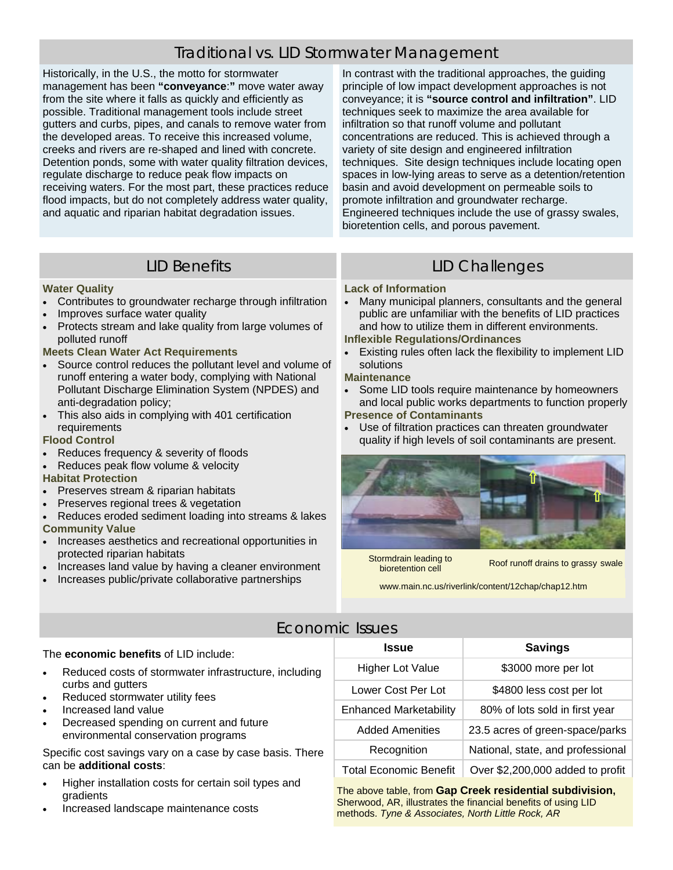# Traditional vs. LID Stormwater Management

Historically, in the U.S., the motto for stormwater management has been **"conveyance**:**"** move water away from the site where it falls as quickly and efficiently as possible. Traditional management tools include street gutters and curbs, pipes, and canals to remove water from the developed areas. To receive this increased volume, creeks and rivers are re-shaped and lined with concrete. Detention ponds, some with water quality filtration devices, regulate discharge to reduce peak flow impacts on receiving waters. For the most part, these practices reduce flood impacts, but do not completely address water quality, and aquatic and riparian habitat degradation issues.

In contrast with the traditional approaches, the guiding principle of low impact development approaches is not conveyance; it is **"source control and infiltration"**. LID techniques seek to maximize the area available for infiltration so that runoff volume and pollutant concentrations are reduced. This is achieved through a variety of site design and engineered infiltration techniques. Site design techniques include locating open spaces in low-lying areas to serve as a detention/retention basin and avoid development on permeable soils to promote infiltration and groundwater recharge. Engineered techniques include the use of grassy swales, bioretention cells, and porous pavement.

### **Water Quality**

- Contributes to groundwater recharge through infiltration
- Improves surface water quality
- Protects stream and lake quality from large volumes of polluted runoff

### **Meets Clean Water Act Requirements**

- Source control reduces the pollutant level and volume of runoff entering a water body, complying with National Pollutant Discharge Elimination System (NPDES) and anti-degradation policy;
- This also aids in complying with 401 certification requirements

## **Flood Control**

- Reduces frequency & severity of floods
- Reduces peak flow volume & velocity

#### **Habitat Protection**

- Preserves stream & riparian habitats
- Preserves regional trees & vegetation
- Reduces eroded sediment loading into streams & lakes **Community Value**
- Increases aesthetics and recreational opportunities in protected riparian habitats
- Increases land value by having a cleaner environment
- Increases public/private collaborative partnerships www.main.nc.us/riverlink/content/12chap/chap12.htm

## LID Benefits **LID Challenges**

#### **Lack of Information**

Many municipal planners, consultants and the general public are unfamiliar with the benefits of LID practices and how to utilize them in different environments.

## **Inflexible Regulations/Ordinances**

- Existing rules often lack the flexibility to implement LID solutions
- **Maintenance**
- Some LID tools require maintenance by homeowners and local public works departments to function properly **Presence of Contaminants**
- Use of filtration practices can threaten groundwater quality if high levels of soil contaminants are present.



Stormdrain leading to

bioretention cellRoof runoff drains to grassy swale

## Economic Issues

#### The **economic benefits** of LID include:

- Reduced costs of stormwater infrastructure, including curbs and gutters
- Reduced stormwater utility fees
- Increased land value
- Decreased spending on current and future environmental conservation programs

Specific cost savings vary on a case by case basis. There can be **additional costs**:

- Higher installation costs for certain soil types and gradients
- Increased landscape maintenance costs

| Issue                         | <b>Savings</b>                    |
|-------------------------------|-----------------------------------|
| <b>Higher Lot Value</b>       | \$3000 more per lot               |
| Lower Cost Per Lot            | \$4800 less cost per lot          |
| <b>Enhanced Marketability</b> | 80% of lots sold in first year    |
| <b>Added Amenities</b>        | 23.5 acres of green-space/parks   |
| Recognition                   | National, state, and professional |
| <b>Total Economic Benefit</b> | Over \$2,200,000 added to profit  |

The above table, from **Gap Creek residential subdivision,**  Sherwood, AR, illustrates the financial benefits of using LID methods. *Tyne & Associates, North Little Rock, AR*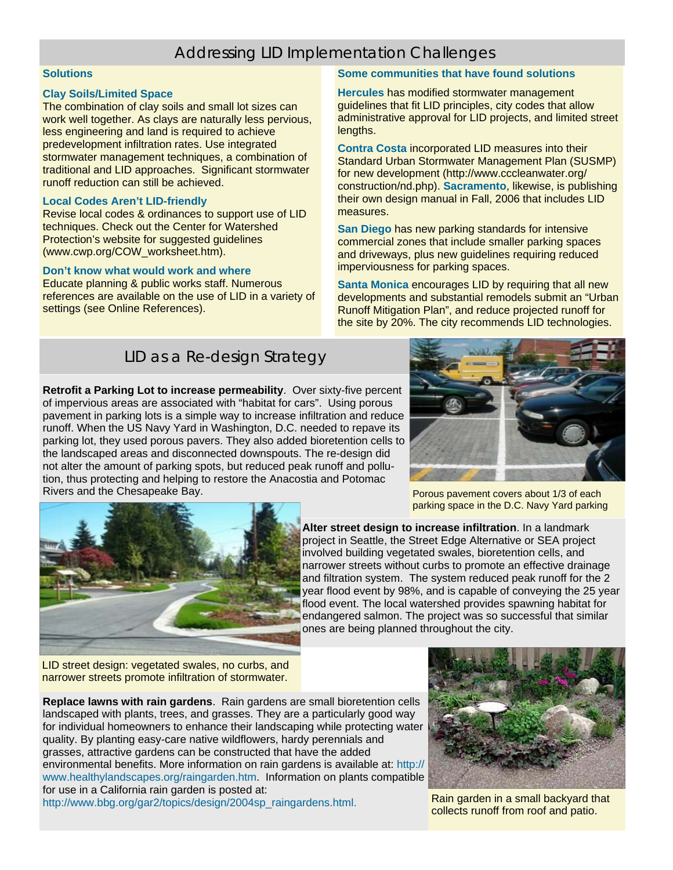# Addressing LID Implementation Challenges

#### **Solutions**

#### **Clay Soils/Limited Space**

The combination of clay soils and small lot sizes can work well together. As clays are naturally less pervious, less engineering and land is required to achieve predevelopment infiltration rates. Use integrated stormwater management techniques, a combination of traditional and LID approaches. Significant stormwater runoff reduction can still be achieved.

#### **Local Codes Aren't LID-friendly**

Revise local codes & ordinances to support use of LID techniques. Check out the Center for Watershed Protection's website for suggested guidelines (www.cwp.org/COW\_worksheet.htm).

#### **Don't know what would work and where**

Educate planning & public works staff. Numerous references are available on the use of LID in a variety of settings (see Online References).

#### **Some communities that have found solutions**

**Hercules** has modified stormwater management guidelines that fit LID principles, city codes that allow administrative approval for LID projects, and limited street lengths.

**Contra Costa** incorporated LID measures into their Standard Urban Stormwater Management Plan (SUSMP) for new development (http://www.cccleanwater.org/ construction/nd.php). **Sacramento**, likewise, is publishing their own design manual in Fall, 2006 that includes LID measures.

**San Diego** has new parking standards for intensive commercial zones that include smaller parking spaces and driveways, plus new guidelines requiring reduced imperviousness for parking spaces.

**Santa Monica** encourages LID by requiring that all new developments and substantial remodels submit an "Urban Runoff Mitigation Plan", and reduce projected runoff for the site by 20%. The city recommends LID technologies.

## LID as a Re-design Strategy

**Retrofit a Parking Lot to increase permeability**. Over sixty-five percent of impervious areas are associated with "habitat for cars". Using porous pavement in parking lots is a simple way to increase infiltration and reduce runoff. When the US Navy Yard in Washington, D.C. needed to repave its parking lot, they used porous pavers. They also added bioretention cells to the landscaped areas and disconnected downspouts. The re-design did not alter the amount of parking spots, but reduced peak runoff and pollution, thus protecting and helping to restore the Anacostia and Potomac Rivers and the Chesapeake Bay. Porous pavement covers about 1/3 of each



parking space in the D.C. Navy Yard parking



**Alter street design to increase infiltration**. In a landmark project in Seattle, the Street Edge Alternative or SEA project involved building vegetated swales, bioretention cells, and narrower streets without curbs to promote an effective drainage and filtration system. The system reduced peak runoff for the 2 year flood event by 98%, and is capable of conveying the 25 year flood event. The local watershed provides spawning habitat for endangered salmon. The project was so successful that similar ones are being planned throughout the city.

LID street design: vegetated swales, no curbs, and narrower streets promote infiltration of stormwater.

**Replace lawns with rain gardens**. Rain gardens are small bioretention cells landscaped with plants, trees, and grasses. They are a particularly good way for individual homeowners to enhance their landscaping while protecting water quality. By planting easy-care native wildflowers, hardy perennials and grasses, attractive gardens can be constructed that have the added environmental benefits. More information on rain gardens is available at: http:// www.healthylandscapes.org/raingarden.htm. Information on plants compatible for use in a California rain garden is posted at: http://www.bbg.org/gar2/topics/design/2004sp\_raingardens.html. Rain garden in a small backyard that



collects runoff from roof and patio.